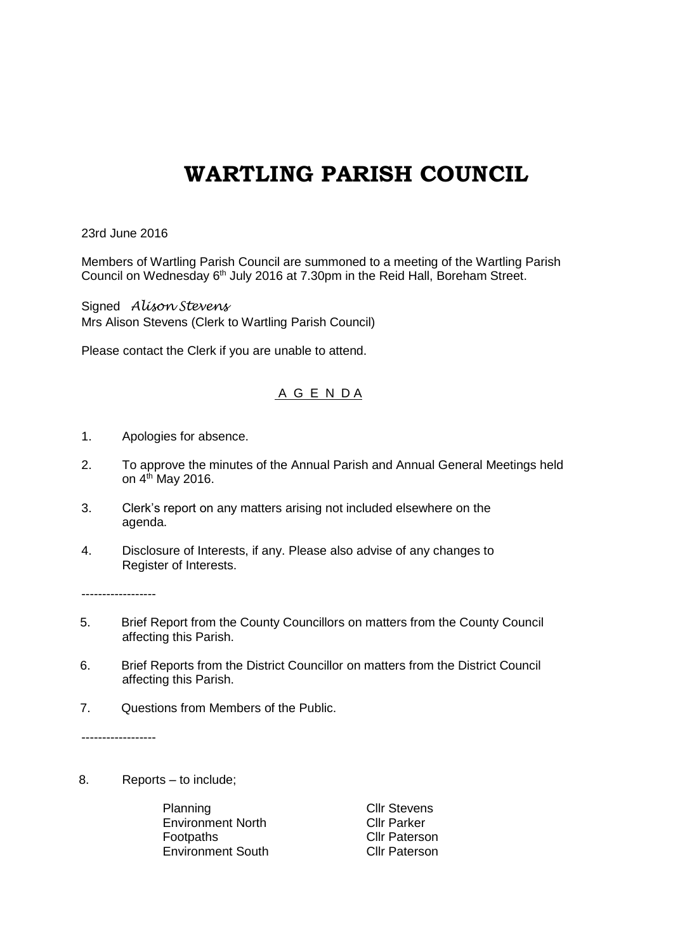## **WARTLING PARISH COUNCIL**

23rd June 2016

Members of Wartling Parish Council are summoned to a meeting of the Wartling Parish Council on Wednesday 6<sup>th</sup> July 2016 at 7.30pm in the Reid Hall, Boreham Street.

Signed *Alison Stevens* Mrs Alison Stevens (Clerk to Wartling Parish Council)

Please contact the Clerk if you are unable to attend.

## A G E N D A

- 1. Apologies for absence.
- 2. To approve the minutes of the Annual Parish and Annual General Meetings held on 4<sup>th</sup> May 2016.
- 3. Clerk's report on any matters arising not included elsewhere on the agenda.
- 4. Disclosure of Interests, if any. Please also advise of any changes to Register of Interests.

------------------

- 5. Brief Report from the County Councillors on matters from the County Council affecting this Parish.
- 6. Brief Reports from the District Councillor on matters from the District Council affecting this Parish.
- 7. Questions from Members of the Public.

------------------

8. Reports – to include;

Planning Cllr Stevens Environment North Cllr Parker Footpaths **Cllr Paterson** Environment South Cllr Paterson